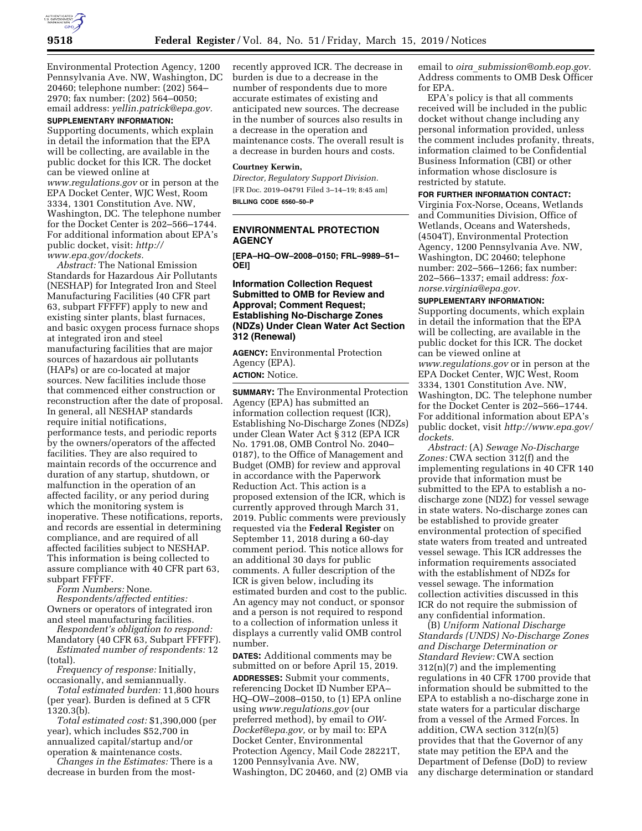

Environmental Protection Agency, 1200 Pennsylvania Ave. NW, Washington, DC 20460; telephone number: (202) 564– 2970; fax number: (202) 564–0050; email address: *[yellin.patrick@epa.gov.](mailto:yellin.patrick@epa.gov)* 

# **SUPPLEMENTARY INFORMATION:**

Supporting documents, which explain in detail the information that the EPA will be collecting, are available in the public docket for this ICR. The docket can be viewed online at *[www.regulations.gov](http://www.regulations.gov)* or in person at the EPA Docket Center, WJC West, Room 3334, 1301 Constitution Ave. NW, Washington, DC. The telephone number for the Docket Center is 202–566–1744. For additional information about EPA's public docket, visit: *[http://](http://www.epa.gov/dockets) [www.epa.gov/dockets.](http://www.epa.gov/dockets)* 

*Abstract:* The National Emission Standards for Hazardous Air Pollutants (NESHAP) for Integrated Iron and Steel Manufacturing Facilities (40 CFR part 63, subpart FFFFF) apply to new and existing sinter plants, blast furnaces, and basic oxygen process furnace shops at integrated iron and steel manufacturing facilities that are major sources of hazardous air pollutants (HAPs) or are co-located at major sources. New facilities include those that commenced either construction or reconstruction after the date of proposal. In general, all NESHAP standards require initial notifications, performance tests, and periodic reports by the owners/operators of the affected facilities. They are also required to maintain records of the occurrence and duration of any startup, shutdown, or malfunction in the operation of an affected facility, or any period during which the monitoring system is inoperative. These notifications, reports, and records are essential in determining compliance, and are required of all affected facilities subject to NESHAP. This information is being collected to assure compliance with 40 CFR part 63, subpart FFFFF.

*Form Numbers:* None. *Respondents/affected entities:*  Owners or operators of integrated iron and steel manufacturing facilities.

*Respondent's obligation to respond:* 

Mandatory (40 CFR 63, Subpart FFFFF). *Estimated number of respondents:* 12 (total).

*Frequency of response:* Initially, occasionally, and semiannually.

*Total estimated burden:* 11,800 hours (per year). Burden is defined at 5 CFR 1320.3(b).

*Total estimated cost:* \$1,390,000 (per year), which includes \$52,700 in annualized capital/startup and/or operation & maintenance costs.

*Changes in the Estimates:* There is a decrease in burden from the mostrecently approved ICR. The decrease in burden is due to a decrease in the number of respondents due to more accurate estimates of existing and anticipated new sources. The decrease in the number of sources also results in a decrease in the operation and maintenance costs. The overall result is a decrease in burden hours and costs.

#### **Courtney Kerwin,**

*Director, Regulatory Support Division.*  [FR Doc. 2019–04791 Filed 3–14–19; 8:45 am] **BILLING CODE 6560–50–P** 

# **ENVIRONMENTAL PROTECTION AGENCY**

**[EPA–HQ–OW–2008–0150; FRL–9989–51– OEI]** 

# **Information Collection Request Submitted to OMB for Review and Approval; Comment Request; Establishing No-Discharge Zones (NDZs) Under Clean Water Act Section 312 (Renewal)**

**AGENCY:** Environmental Protection Agency (EPA). **ACTION:** Notice.

**SUMMARY:** The Environmental Protection Agency (EPA) has submitted an information collection request (ICR), Establishing No-Discharge Zones (NDZs) under Clean Water Act § 312 (EPA ICR No. 1791.08, OMB Control No. 2040– 0187), to the Office of Management and Budget (OMB) for review and approval in accordance with the Paperwork Reduction Act. This action is a proposed extension of the ICR, which is currently approved through March 31, 2019. Public comments were previously requested via the **Federal Register** on September 11, 2018 during a 60-day comment period. This notice allows for an additional 30 days for public comments. A fuller description of the ICR is given below, including its estimated burden and cost to the public. An agency may not conduct, or sponsor and a person is not required to respond to a collection of information unless it displays a currently valid OMB control number.

**DATES:** Additional comments may be submitted on or before April 15, 2019. **ADDRESSES:** Submit your comments, referencing Docket ID Number EPA– HQ–OW–2008–0150, to (1) EPA online using *[www.regulations.gov](http://www.regulations.gov)* (our preferred method), by email to *[OW-](mailto:OW-Docket@epa.gov)[Docket@epa.gov,](mailto:OW-Docket@epa.gov)* or by mail to: EPA Docket Center, Environmental Protection Agency, Mail Code 28221T, 1200 Pennsylvania Ave. NW, Washington, DC 20460, and (2) OMB via email to *oira*\_*[submission@omb.eop.gov.](mailto:oira_submission@omb.eop.gov)*  Address comments to OMB Desk Officer for EPA.

EPA's policy is that all comments received will be included in the public docket without change including any personal information provided, unless the comment includes profanity, threats, information claimed to be Confidential Business Information (CBI) or other information whose disclosure is restricted by statute.

## **FOR FURTHER INFORMATION CONTACT:**

Virginia Fox-Norse, Oceans, Wetlands and Communities Division, Office of Wetlands, Oceans and Watersheds, (4504T), Environmental Protection Agency, 1200 Pennsylvania Ave. NW, Washington, DC 20460; telephone number: 202–566–1266; fax number: 202–566–1337; email address: *[fox](mailto:fox-norse.virginia@epa.gov)[norse.virginia@epa.gov.](mailto:fox-norse.virginia@epa.gov)* 

### **SUPPLEMENTARY INFORMATION:**

Supporting documents, which explain in detail the information that the EPA will be collecting, are available in the public docket for this ICR. The docket can be viewed online at *[www.regulations.gov](http://www.regulations.gov)* or in person at the EPA Docket Center, WJC West, Room 3334, 1301 Constitution Ave. NW, Washington, DC. The telephone number for the Docket Center is 202–566–1744. For additional information about EPA's public docket, visit *[http://www.epa.gov/](http://www.epa.gov/dockets)  [dockets.](http://www.epa.gov/dockets)* 

*Abstract:* (A) *Sewage No-Discharge Zones:* CWA section 312(f) and the implementing regulations in 40 CFR 140 provide that information must be submitted to the EPA to establish a nodischarge zone (NDZ) for vessel sewage in state waters. No-discharge zones can be established to provide greater environmental protection of specified state waters from treated and untreated vessel sewage. This ICR addresses the information requirements associated with the establishment of NDZs for vessel sewage. The information collection activities discussed in this ICR do not require the submission of any confidential information.

(B) *Uniform National Discharge Standards (UNDS) No-Discharge Zones and Discharge Determination or Standard Review:* CWA section 312(n)(7) and the implementing regulations in 40 CFR 1700 provide that information should be submitted to the EPA to establish a no-discharge zone in state waters for a particular discharge from a vessel of the Armed Forces. In addition, CWA section 312(n)(5) provides that that the Governor of any state may petition the EPA and the Department of Defense (DoD) to review any discharge determination or standard